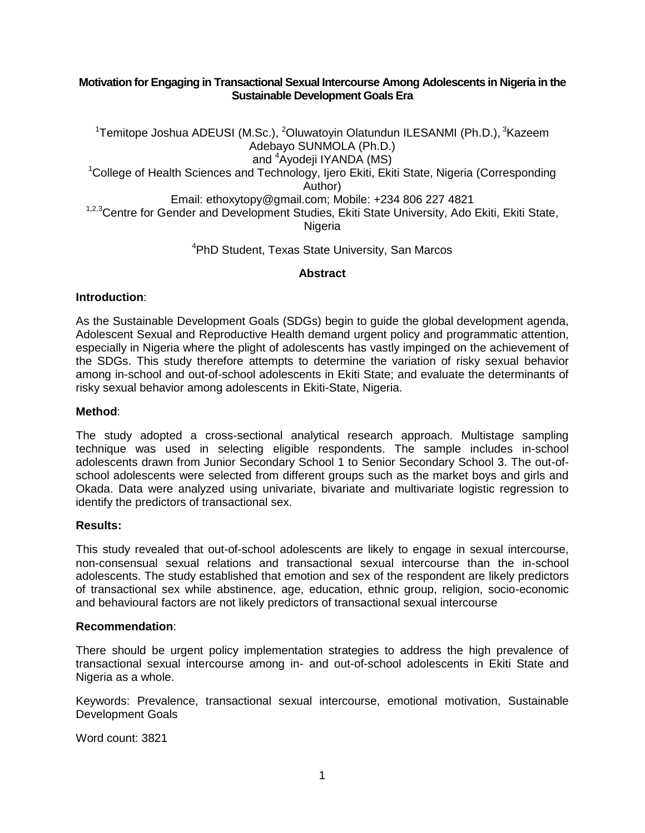## **Motivation for Engaging in Transactional Sexual Intercourse Among Adolescents in Nigeria in the Sustainable Development Goals Era**

<sup>1</sup>Temitope Joshua ADEUSI (M.Sc.), <sup>2</sup>Oluwatoyin Olatundun ILESANMI (Ph.D.), <sup>3</sup>Kazeem Adebayo SUNMOLA (Ph.D.) and <sup>4</sup>Ayodeji IYANDA (MS) <sup>1</sup>College of Health Sciences and Technology, Ijero Ekiti, Ekiti State, Nigeria (Corresponding Author) Email: ethoxytopy@gmail.com; Mobile: +234 806 227 4821 1,2,3 Centre for Gender and Development Studies, Ekiti State University, Ado Ekiti, Ekiti State, Nigeria

## <sup>4</sup>PhD Student, Texas State University, San Marcos

## **Abstract**

## **Introduction**:

As the Sustainable Development Goals (SDGs) begin to guide the global development agenda, Adolescent Sexual and Reproductive Health demand urgent policy and programmatic attention, especially in Nigeria where the plight of adolescents has vastly impinged on the achievement of the SDGs. This study therefore attempts to determine the variation of risky sexual behavior among in-school and out-of-school adolescents in Ekiti State; and evaluate the determinants of risky sexual behavior among adolescents in Ekiti-State, Nigeria.

## **Method**:

The study adopted a cross-sectional analytical research approach. Multistage sampling technique was used in selecting eligible respondents. The sample includes in-school adolescents drawn from Junior Secondary School 1 to Senior Secondary School 3. The out-ofschool adolescents were selected from different groups such as the market boys and girls and Okada. Data were analyzed using univariate, bivariate and multivariate logistic regression to identify the predictors of transactional sex.

#### **Results:**

This study revealed that out-of-school adolescents are likely to engage in sexual intercourse, non-consensual sexual relations and transactional sexual intercourse than the in-school adolescents. The study established that emotion and sex of the respondent are likely predictors of transactional sex while abstinence, age, education, ethnic group, religion, socio-economic and behavioural factors are not likely predictors of transactional sexual intercourse

#### **Recommendation**:

There should be urgent policy implementation strategies to address the high prevalence of transactional sexual intercourse among in- and out-of-school adolescents in Ekiti State and Nigeria as a whole.

Keywords: Prevalence, transactional sexual intercourse, emotional motivation, Sustainable Development Goals

Word count: 3821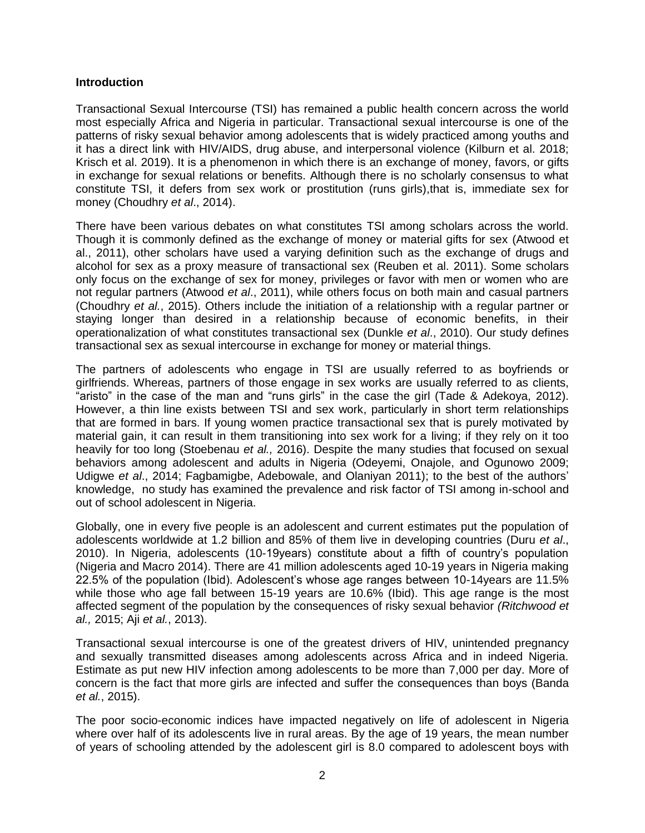## **Introduction**

Transactional Sexual Intercourse (TSI) has remained a public health concern across the world most especially Africa and Nigeria in particular. Transactional sexual intercourse is one of the patterns of risky sexual behavior among adolescents that is widely practiced among youths and it has a direct link with HIV/AIDS, drug abuse, and interpersonal violence (Kilburn et al. 2018; Krisch et al. 2019). It is a phenomenon in which there is an exchange of money, favors, or gifts in exchange for sexual relations or benefits. Although there is no scholarly consensus to what constitute TSI, it defers from sex work or prostitution (runs girls),that is, immediate sex for money (Choudhry *et al*., 2014).

There have been various debates on what constitutes TSI among scholars across the world. Though it is commonly defined as the exchange of money or material gifts for sex (Atwood et al., 2011), other scholars have used a varying definition such as the exchange of drugs and alcohol for sex as a proxy measure of transactional sex (Reuben et al. 2011). Some scholars only focus on the exchange of sex for money, privileges or favor with men or women who are not regular partners (Atwood *et al*., 2011), while others focus on both main and casual partners (Choudhry *et al.*, 2015). Others include the initiation of a relationship with a regular partner or staying longer than desired in a relationship because of economic benefits, in their operationalization of what constitutes transactional sex (Dunkle *et al*., 2010). Our study defines transactional sex as sexual intercourse in exchange for money or material things.

The partners of adolescents who engage in TSI are usually referred to as boyfriends or girlfriends. Whereas, partners of those engage in sex works are usually referred to as clients, "aristo" in the case of the man and "runs girls" in the case the girl (Tade & Adekoya, 2012). However, a thin line exists between TSI and sex work, particularly in short term relationships that are formed in bars. If young women practice transactional sex that is purely motivated by material gain, it can result in them transitioning into sex work for a living; if they rely on it too heavily for too long (Stoebenau *et al.,* 2016). Despite the many studies that focused on sexual behaviors among adolescent and adults in Nigeria (Odeyemi, Onajole, and Ogunowo 2009; Udigwe *et al*., 2014; Fagbamigbe, Adebowale, and Olaniyan 2011); to the best of the authors' knowledge, no study has examined the prevalence and risk factor of TSI among in-school and out of school adolescent in Nigeria.

Globally, one in every five people is an adolescent and current estimates put the population of adolescents worldwide at 1.2 billion and 85% of them live in developing countries (Duru *et al*., 2010). In Nigeria, adolescents (10-19years) constitute about a fifth of country's population (Nigeria and Macro 2014). There are 41 million adolescents aged 10-19 years in Nigeria making 22.5% of the population (Ibid). Adolescent's whose age ranges between 10-14years are 11.5% while those who age fall between 15-19 years are 10.6% (Ibid). This age range is the most affected segment of the population by the consequences of risky sexual behavior *(Ritchwood et al.,* 2015; Aji *et al.*, 2013).

Transactional sexual intercourse is one of the greatest drivers of HIV, unintended pregnancy and sexually transmitted diseases among adolescents across Africa and in indeed Nigeria. Estimate as put new HIV infection among adolescents to be more than 7,000 per day. More of concern is the fact that more girls are infected and suffer the consequences than boys (Banda *et al.*, 2015).

The poor socio-economic indices have impacted negatively on life of adolescent in Nigeria where over half of its adolescents live in rural areas. By the age of 19 years, the mean number of years of schooling attended by the adolescent girl is 8.0 compared to adolescent boys with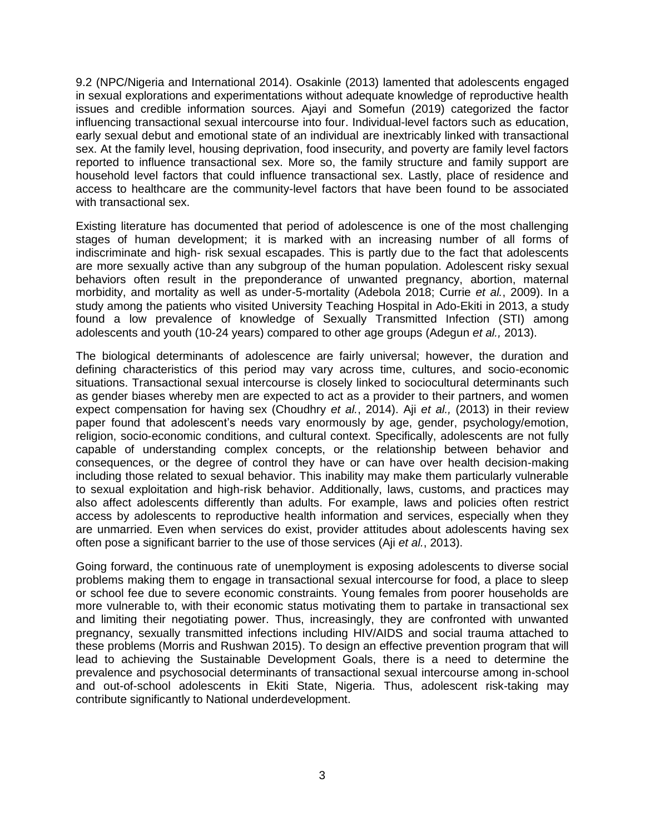9.2 (NPC/Nigeria and International 2014). Osakinle (2013) lamented that adolescents engaged in sexual explorations and experimentations without adequate knowledge of reproductive health issues and credible information sources. Ajayi and Somefun (2019) categorized the factor influencing transactional sexual intercourse into four. Individual-level factors such as education, early sexual debut and emotional state of an individual are inextricably linked with transactional sex. At the family level, housing deprivation, food insecurity, and poverty are family level factors reported to influence transactional sex. More so, the family structure and family support are household level factors that could influence transactional sex. Lastly, place of residence and access to healthcare are the community-level factors that have been found to be associated with transactional sex.

Existing literature has documented that period of adolescence is one of the most challenging stages of human development; it is marked with an increasing number of all forms of indiscriminate and high- risk sexual escapades. This is partly due to the fact that adolescents are more sexually active than any subgroup of the human population. Adolescent risky sexual behaviors often result in the preponderance of unwanted pregnancy, abortion, maternal morbidity, and mortality as well as under-5-mortality (Adebola 2018; Currie *et al.*, 2009). In a study among the patients who visited University Teaching Hospital in Ado-Ekiti in 2013, a study found a low prevalence of knowledge of Sexually Transmitted Infection (STI) among adolescents and youth (10-24 years) compared to other age groups (Adegun *et al.,* 2013).

The biological determinants of adolescence are fairly universal; however, the duration and defining characteristics of this period may vary across time, cultures, and socio-economic situations. Transactional sexual intercourse is closely linked to sociocultural determinants such as gender biases whereby men are expected to act as a provider to their partners, and women expect compensation for having sex (Choudhry *et al.*, 2014). Aji *et al.,* (2013) in their review paper found that adolescent's needs vary enormously by age, gender, psychology/emotion, religion, socio-economic conditions, and cultural context. Specifically, adolescents are not fully capable of understanding complex concepts, or the relationship between behavior and consequences, or the degree of control they have or can have over health decision-making including those related to sexual behavior. This inability may make them particularly vulnerable to sexual exploitation and high-risk behavior. Additionally, laws, customs, and practices may also affect adolescents differently than adults. For example, laws and policies often restrict access by adolescents to reproductive health information and services, especially when they are unmarried. Even when services do exist, provider attitudes about adolescents having sex often pose a significant barrier to the use of those services (Aji *et al.*, 2013).

Going forward, the continuous rate of unemployment is exposing adolescents to diverse social problems making them to engage in transactional sexual intercourse for food, a place to sleep or school fee due to severe economic constraints. Young females from poorer households are more vulnerable to, with their economic status motivating them to partake in transactional sex and limiting their negotiating power. Thus, increasingly, they are confronted with unwanted pregnancy, sexually transmitted infections including HIV/AIDS and social trauma attached to these problems (Morris and Rushwan 2015). To design an effective prevention program that will lead to achieving the Sustainable Development Goals, there is a need to determine the prevalence and psychosocial determinants of transactional sexual intercourse among in-school and out-of-school adolescents in Ekiti State, Nigeria. Thus, adolescent risk-taking may contribute significantly to National underdevelopment.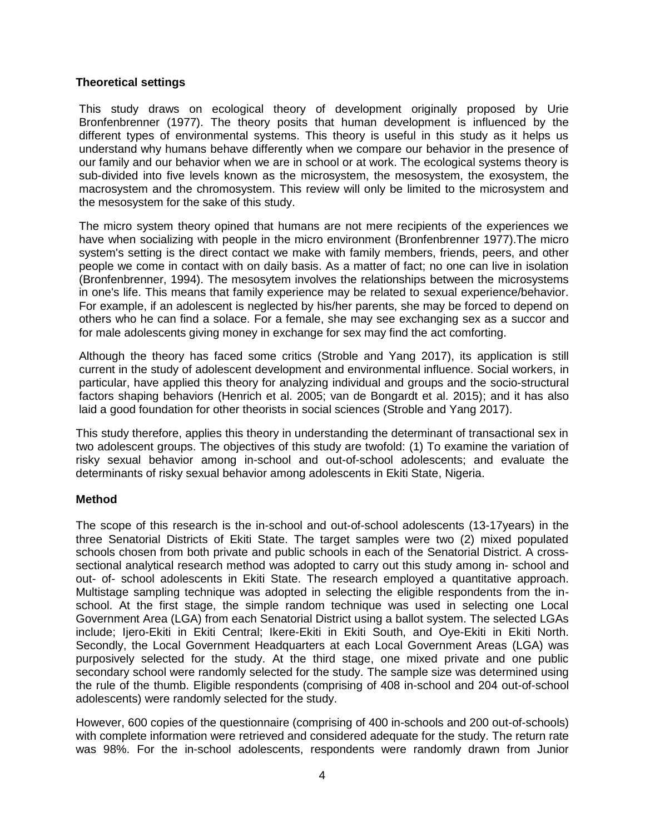# **Theoretical settings**

This study draws on ecological theory of development originally proposed by Urie Bronfenbrenner (1977). The theory posits that human development is influenced by the different types of environmental systems. This theory is useful in this study as it helps us understand why humans behave differently when we compare our behavior in the presence of our family and our behavior when we are in school or at work. The ecological systems theory is sub-divided into five levels known as the microsystem, the mesosystem, the exosystem, the macrosystem and the chromosystem. This review will only be limited to the microsystem and the mesosystem for the sake of this study.

The micro system theory opined that humans are not mere recipients of the experiences we have when socializing with people in the micro environment (Bronfenbrenner 1977).The micro system's setting is the direct contact we make with family members, friends, peers, and other people we come in contact with on daily basis. As a matter of fact; no one can live in isolation (Bronfenbrenner, 1994). The mesosytem involves the relationships between the microsystems in one's life. This means that family experience may be related to sexual experience/behavior. For example, if an adolescent is neglected by his/her parents, she may be forced to depend on others who he can find a solace. For a female, she may see exchanging sex as a succor and for male adolescents giving money in exchange for sex may find the act comforting.

Although the theory has faced some critics (Stroble and Yang 2017), its application is still current in the study of adolescent development and environmental influence. Social workers, in particular, have applied this theory for analyzing individual and groups and the socio-structural factors shaping behaviors (Henrich et al. 2005; van de Bongardt et al. 2015); and it has also laid a good foundation for other theorists in social sciences (Stroble and Yang 2017).

This study therefore, applies this theory in understanding the determinant of transactional sex in two adolescent groups. The objectives of this study are twofold: (1) To examine the variation of risky sexual behavior among in-school and out-of-school adolescents; and evaluate the determinants of risky sexual behavior among adolescents in Ekiti State, Nigeria.

#### **Method**

The scope of this research is the in-school and out-of-school adolescents (13-17years) in the three Senatorial Districts of Ekiti State. The target samples were two (2) mixed populated schools chosen from both private and public schools in each of the Senatorial District. A crosssectional analytical research method was adopted to carry out this study among in- school and out- of- school adolescents in Ekiti State. The research employed a quantitative approach. Multistage sampling technique was adopted in selecting the eligible respondents from the inschool. At the first stage, the simple random technique was used in selecting one Local Government Area (LGA) from each Senatorial District using a ballot system. The selected LGAs include; Ijero-Ekiti in Ekiti Central; Ikere-Ekiti in Ekiti South, and Oye-Ekiti in Ekiti North. Secondly, the Local Government Headquarters at each Local Government Areas (LGA) was purposively selected for the study. At the third stage, one mixed private and one public secondary school were randomly selected for the study. The sample size was determined using the rule of the thumb. Eligible respondents (comprising of 408 in-school and 204 out-of-school adolescents) were randomly selected for the study.

However, 600 copies of the questionnaire (comprising of 400 in-schools and 200 out-of-schools) with complete information were retrieved and considered adequate for the study. The return rate was 98%. For the in-school adolescents, respondents were randomly drawn from Junior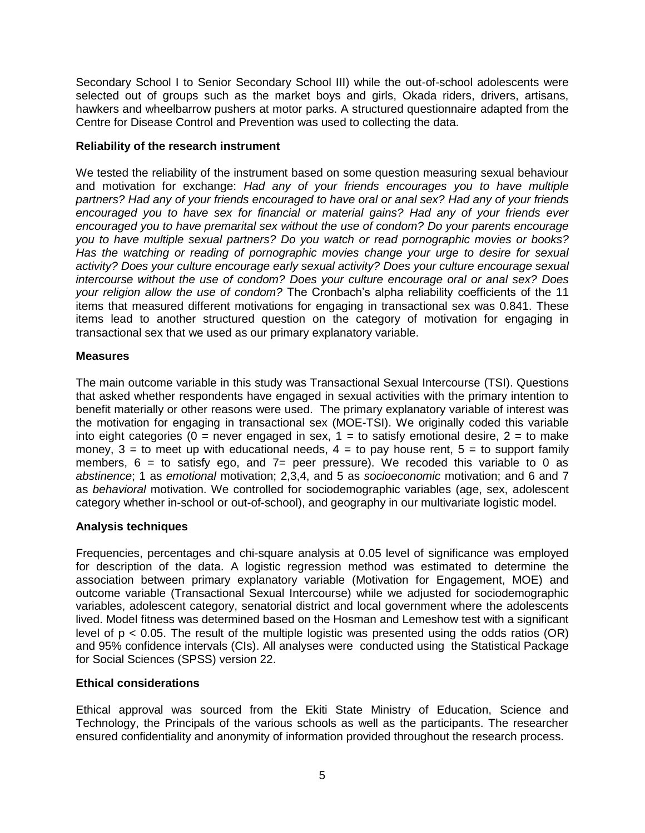Secondary School I to Senior Secondary School III) while the out-of-school adolescents were selected out of groups such as the market boys and girls, Okada riders, drivers, artisans, hawkers and wheelbarrow pushers at motor parks. A structured questionnaire adapted from the Centre for Disease Control and Prevention was used to collecting the data.

## **Reliability of the research instrument**

We tested the reliability of the instrument based on some question measuring sexual behaviour and motivation for exchange: *Had any of your friends encourages you to have multiple partners? Had any of your friends encouraged to have oral or anal sex? Had any of your friends encouraged you to have sex for financial or material gains? Had any of your friends ever encouraged you to have premarital sex without the use of condom? Do your parents encourage you to have multiple sexual partners? Do you watch or read pornographic movies or books? Has the watching or reading of pornographic movies change your urge to desire for sexual activity? Does your culture encourage early sexual activity? Does your culture encourage sexual intercourse without the use of condom? Does your culture encourage oral or anal sex? Does your religion allow the use of condom?* The Cronbach's alpha reliability coefficients of the 11 items that measured different motivations for engaging in transactional sex was 0.841. These items lead to another structured question on the category of motivation for engaging in transactional sex that we used as our primary explanatory variable.

## **Measures**

The main outcome variable in this study was Transactional Sexual Intercourse (TSI). Questions that asked whether respondents have engaged in sexual activities with the primary intention to benefit materially or other reasons were used. The primary explanatory variable of interest was the motivation for engaging in transactional sex (MOE-TSI). We originally coded this variable into eight categories ( $0 =$  never engaged in sex,  $1 =$  to satisfy emotional desire,  $2 =$  to make money,  $3 =$  to meet up with educational needs,  $4 =$  to pay house rent,  $5 =$  to support family members,  $6 =$  to satisfy ego, and  $7 =$  peer pressure). We recoded this variable to 0 as *abstinence*; 1 as *emotional* motivation; 2,3,4, and 5 as *socioeconomic* motivation; and 6 and 7 as *behavioral* motivation. We controlled for sociodemographic variables (age, sex, adolescent category whether in-school or out-of-school), and geography in our multivariate logistic model.

# **Analysis techniques**

Frequencies, percentages and chi-square analysis at 0.05 level of significance was employed for description of the data. A logistic regression method was estimated to determine the association between primary explanatory variable (Motivation for Engagement, MOE) and outcome variable (Transactional Sexual Intercourse) while we adjusted for sociodemographic variables, adolescent category, senatorial district and local government where the adolescents lived. Model fitness was determined based on the Hosman and Lemeshow test with a significant level of  $p < 0.05$ . The result of the multiple logistic was presented using the odds ratios (OR) and 95% confidence intervals (CIs). All analyses were conducted using the Statistical Package for Social Sciences (SPSS) version 22.

# **Ethical considerations**

Ethical approval was sourced from the Ekiti State Ministry of Education, Science and Technology, the Principals of the various schools as well as the participants. The researcher ensured confidentiality and anonymity of information provided throughout the research process.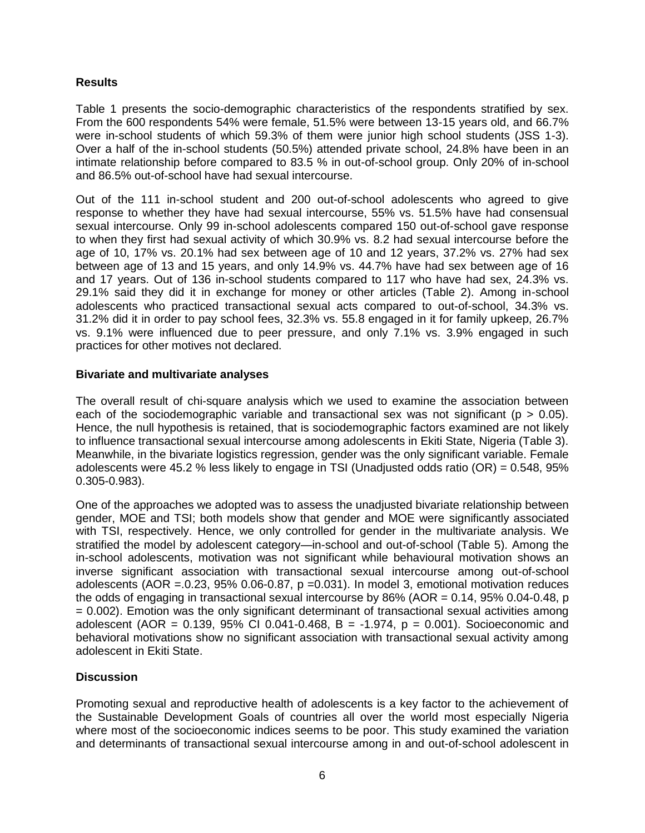## **Results**

Table 1 presents the socio-demographic characteristics of the respondents stratified by sex. From the 600 respondents 54% were female, 51.5% were between 13-15 years old, and 66.7% were in-school students of which 59.3% of them were junior high school students (JSS 1-3). Over a half of the in-school students (50.5%) attended private school, 24.8% have been in an intimate relationship before compared to 83.5 % in out-of-school group. Only 20% of in-school and 86.5% out-of-school have had sexual intercourse.

Out of the 111 in-school student and 200 out-of-school adolescents who agreed to give response to whether they have had sexual intercourse, 55% vs. 51.5% have had consensual sexual intercourse. Only 99 in-school adolescents compared 150 out-of-school gave response to when they first had sexual activity of which 30.9% vs. 8.2 had sexual intercourse before the age of 10, 17% vs. 20.1% had sex between age of 10 and 12 years, 37.2% vs. 27% had sex between age of 13 and 15 years, and only 14.9% vs. 44.7% have had sex between age of 16 and 17 years. Out of 136 in-school students compared to 117 who have had sex, 24.3% vs. 29.1% said they did it in exchange for money or other articles (Table 2). Among in-school adolescents who practiced transactional sexual acts compared to out-of-school, 34.3% vs. 31.2% did it in order to pay school fees, 32.3% vs. 55.8 engaged in it for family upkeep, 26.7% vs. 9.1% were influenced due to peer pressure, and only 7.1% vs. 3.9% engaged in such practices for other motives not declared.

## **Bivariate and multivariate analyses**

The overall result of chi-square analysis which we used to examine the association between each of the sociodemographic variable and transactional sex was not significant ( $p > 0.05$ ). Hence, the null hypothesis is retained, that is sociodemographic factors examined are not likely to influence transactional sexual intercourse among adolescents in Ekiti State, Nigeria (Table 3). Meanwhile, in the bivariate logistics regression, gender was the only significant variable. Female adolescents were 45.2 % less likely to engage in TSI (Unadjusted odds ratio (OR) = 0.548, 95% 0.305-0.983).

One of the approaches we adopted was to assess the unadjusted bivariate relationship between gender, MOE and TSI; both models show that gender and MOE were significantly associated with TSI, respectively. Hence, we only controlled for gender in the multivariate analysis. We stratified the model by adolescent category—in-school and out-of-school (Table 5). Among the in-school adolescents, motivation was not significant while behavioural motivation shows an inverse significant association with transactional sexual intercourse among out-of-school adolescents (AOR =.0.23,  $95\%$  0.06-0.87, p =0.031). In model 3, emotional motivation reduces the odds of engaging in transactional sexual intercourse by  $86\%$  (AOR = 0.14, 95% 0.04-0.48, p = 0.002). Emotion was the only significant determinant of transactional sexual activities among adolescent (AOR =  $0.139$ ,  $95\%$  CI 0.041-0.468, B = -1.974, p = 0.001). Socioeconomic and behavioral motivations show no significant association with transactional sexual activity among adolescent in Ekiti State.

# **Discussion**

Promoting sexual and reproductive health of adolescents is a key factor to the achievement of the Sustainable Development Goals of countries all over the world most especially Nigeria where most of the socioeconomic indices seems to be poor. This study examined the variation and determinants of transactional sexual intercourse among in and out-of-school adolescent in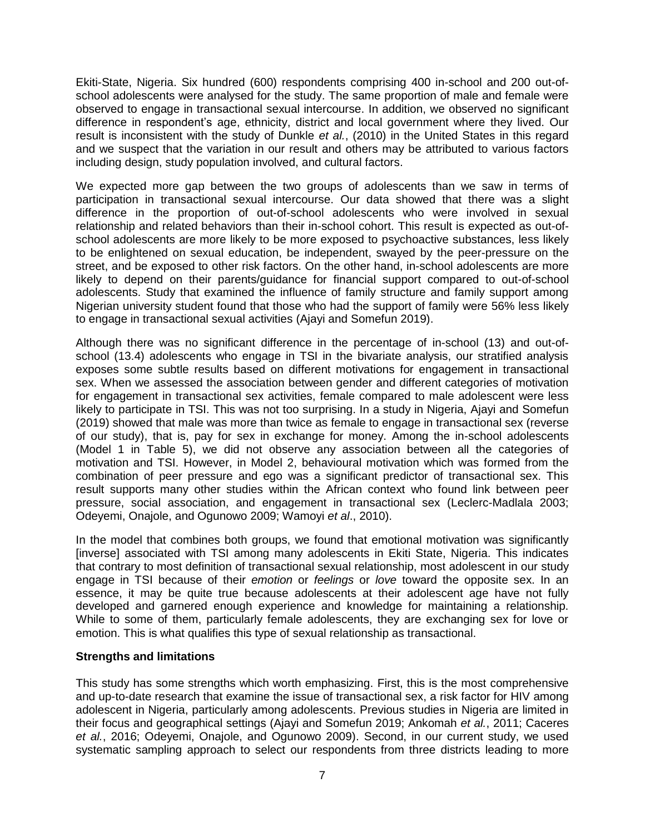Ekiti-State, Nigeria. Six hundred (600) respondents comprising 400 in-school and 200 out-ofschool adolescents were analysed for the study. The same proportion of male and female were observed to engage in transactional sexual intercourse. In addition, we observed no significant difference in respondent's age, ethnicity, district and local government where they lived. Our result is inconsistent with the study of Dunkle *et al.*, (2010) in the United States in this regard and we suspect that the variation in our result and others may be attributed to various factors including design, study population involved, and cultural factors.

We expected more gap between the two groups of adolescents than we saw in terms of participation in transactional sexual intercourse. Our data showed that there was a slight difference in the proportion of out-of-school adolescents who were involved in sexual relationship and related behaviors than their in-school cohort. This result is expected as out-ofschool adolescents are more likely to be more exposed to psychoactive substances, less likely to be enlightened on sexual education, be independent, swayed by the peer-pressure on the street, and be exposed to other risk factors. On the other hand, in-school adolescents are more likely to depend on their parents/guidance for financial support compared to out-of-school adolescents. Study that examined the influence of family structure and family support among Nigerian university student found that those who had the support of family were 56% less likely to engage in transactional sexual activities (Ajayi and Somefun 2019).

Although there was no significant difference in the percentage of in-school (13) and out-ofschool (13.4) adolescents who engage in TSI in the bivariate analysis, our stratified analysis exposes some subtle results based on different motivations for engagement in transactional sex. When we assessed the association between gender and different categories of motivation for engagement in transactional sex activities, female compared to male adolescent were less likely to participate in TSI. This was not too surprising. In a study in Nigeria, Ajayi and Somefun (2019) showed that male was more than twice as female to engage in transactional sex (reverse of our study), that is, pay for sex in exchange for money. Among the in-school adolescents (Model 1 in Table 5), we did not observe any association between all the categories of motivation and TSI. However, in Model 2, behavioural motivation which was formed from the combination of peer pressure and ego was a significant predictor of transactional sex. This result supports many other studies within the African context who found link between peer pressure, social association, and engagement in transactional sex (Leclerc-Madlala 2003; Odeyemi, Onajole, and Ogunowo 2009; Wamoyi *et al*., 2010).

In the model that combines both groups, we found that emotional motivation was significantly [inverse] associated with TSI among many adolescents in Ekiti State, Nigeria. This indicates that contrary to most definition of transactional sexual relationship, most adolescent in our study engage in TSI because of their *emotion* or *feelings* or *love* toward the opposite sex. In an essence, it may be quite true because adolescents at their adolescent age have not fully developed and garnered enough experience and knowledge for maintaining a relationship. While to some of them, particularly female adolescents, they are exchanging sex for love or emotion. This is what qualifies this type of sexual relationship as transactional.

# **Strengths and limitations**

This study has some strengths which worth emphasizing. First, this is the most comprehensive and up-to-date research that examine the issue of transactional sex, a risk factor for HIV among adolescent in Nigeria, particularly among adolescents. Previous studies in Nigeria are limited in their focus and geographical settings (Ajayi and Somefun 2019; Ankomah *et al.*, 2011; Caceres *et al.*, 2016; Odeyemi, Onajole, and Ogunowo 2009). Second, in our current study, we used systematic sampling approach to select our respondents from three districts leading to more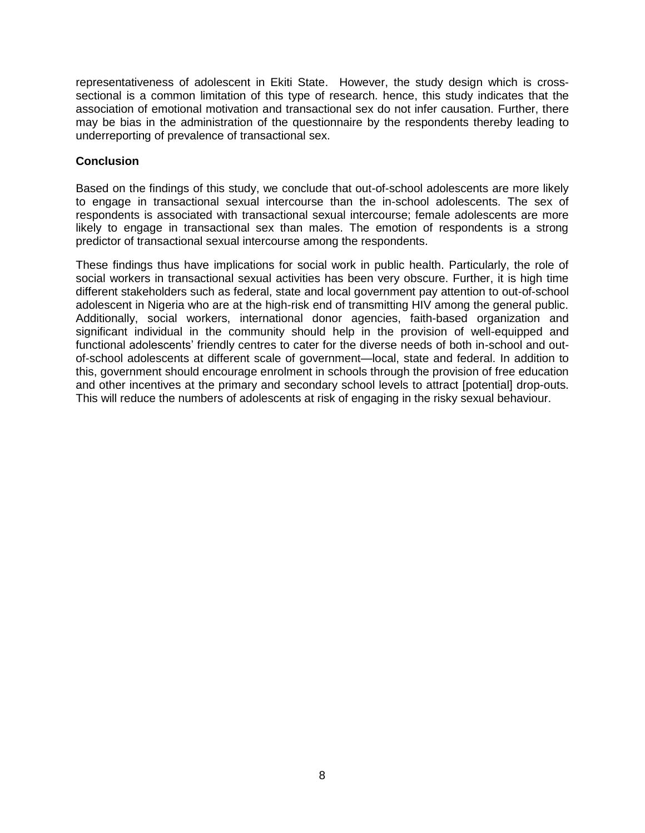representativeness of adolescent in Ekiti State. However, the study design which is crosssectional is a common limitation of this type of research. hence, this study indicates that the association of emotional motivation and transactional sex do not infer causation. Further, there may be bias in the administration of the questionnaire by the respondents thereby leading to underreporting of prevalence of transactional sex.

# **Conclusion**

Based on the findings of this study, we conclude that out-of-school adolescents are more likely to engage in transactional sexual intercourse than the in-school adolescents. The sex of respondents is associated with transactional sexual intercourse; female adolescents are more likely to engage in transactional sex than males. The emotion of respondents is a strong predictor of transactional sexual intercourse among the respondents.

These findings thus have implications for social work in public health. Particularly, the role of social workers in transactional sexual activities has been very obscure. Further, it is high time different stakeholders such as federal, state and local government pay attention to out-of-school adolescent in Nigeria who are at the high-risk end of transmitting HIV among the general public. Additionally, social workers, international donor agencies, faith-based organization and significant individual in the community should help in the provision of well-equipped and functional adolescents' friendly centres to cater for the diverse needs of both in-school and outof-school adolescents at different scale of government—local, state and federal. In addition to this, government should encourage enrolment in schools through the provision of free education and other incentives at the primary and secondary school levels to attract [potential] drop-outs. This will reduce the numbers of adolescents at risk of engaging in the risky sexual behaviour.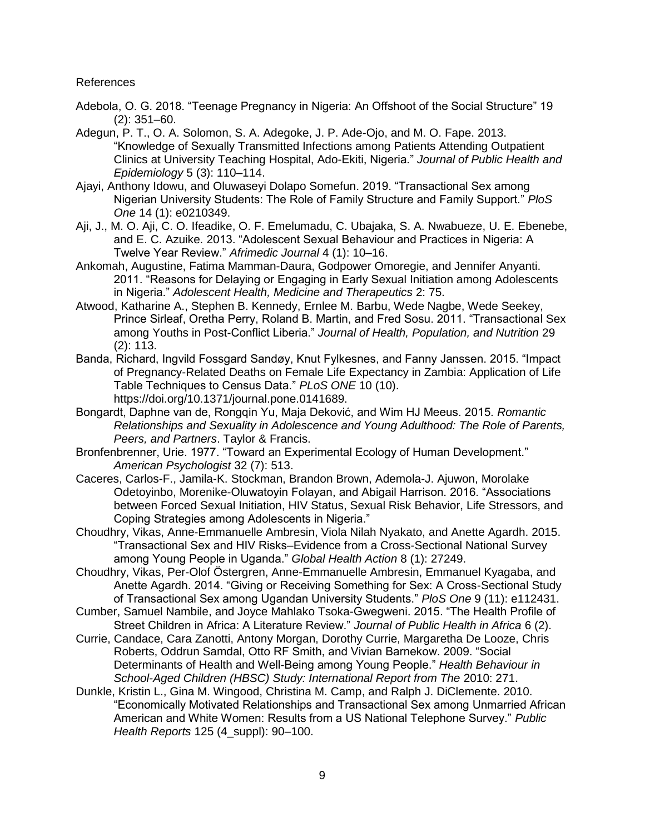References

- Adebola, O. G. 2018. "Teenage Pregnancy in Nigeria: An Offshoot of the Social Structure" 19 (2): 351–60.
- Adegun, P. T., O. A. Solomon, S. A. Adegoke, J. P. Ade-Ojo, and M. O. Fape. 2013. ―Knowledge of Sexually Transmitted Infections among Patients Attending Outpatient Clinics at University Teaching Hospital, Ado-Ekiti, Nigeria.‖ *Journal of Public Health and Epidemiology* 5 (3): 110–114.
- Ajayi, Anthony Idowu, and Oluwaseyi Dolapo Somefun. 2019. "Transactional Sex among Nigerian University Students: The Role of Family Structure and Family Support.‖ *PloS One* 14 (1): e0210349.
- Aji, J., M. O. Aji, C. O. Ifeadike, O. F. Emelumadu, C. Ubajaka, S. A. Nwabueze, U. E. Ebenebe, and E. C. Azuike. 2013. "Adolescent Sexual Behaviour and Practices in Nigeria: A Twelve Year Review.‖ *Afrimedic Journal* 4 (1): 10–16.
- Ankomah, Augustine, Fatima Mamman-Daura, Godpower Omoregie, and Jennifer Anyanti. 2011. "Reasons for Delaying or Engaging in Early Sexual Initiation among Adolescents in Nigeria.‖ *Adolescent Health, Medicine and Therapeutics* 2: 75.
- Atwood, Katharine A., Stephen B. Kennedy, Ernlee M. Barbu, Wede Nagbe, Wede Seekey, Prince Sirleaf, Oretha Perry, Roland B. Martin, and Fred Sosu. 2011. "Transactional Sex among Youths in Post-Conflict Liberia.‖ *Journal of Health, Population, and Nutrition* 29 (2): 113.
- Banda, Richard, Ingvild Fossgard Sandøy, Knut Fylkesnes, and Fanny Janssen. 2015. "Impact of Pregnancy-Related Deaths on Female Life Expectancy in Zambia: Application of Life Table Techniques to Census Data.‖ *PLoS ONE* 10 (10). https://doi.org/10.1371/journal.pone.0141689.
- Bongardt, Daphne van de, Rongqin Yu, Maja Deković, and Wim HJ Meeus. 2015. *Romantic Relationships and Sexuality in Adolescence and Young Adulthood: The Role of Parents, Peers, and Partners*. Taylor & Francis.
- Bronfenbrenner, Urie. 1977. "Toward an Experimental Ecology of Human Development." *American Psychologist* 32 (7): 513.
- Caceres, Carlos-F., Jamila-K. Stockman, Brandon Brown, Ademola-J. Ajuwon, Morolake Odetoyinbo, Morenike-Oluwatoyin Folayan, and Abigail Harrison. 2016. "Associations between Forced Sexual Initiation, HIV Status, Sexual Risk Behavior, Life Stressors, and Coping Strategies among Adolescents in Nigeria."
- Choudhry, Vikas, Anne-Emmanuelle Ambresin, Viola Nilah Nyakato, and Anette Agardh. 2015. ―Transactional Sex and HIV Risks–Evidence from a Cross-Sectional National Survey among Young People in Uganda.‖ *Global Health Action* 8 (1): 27249.
- Choudhry, Vikas, Per-Olof Östergren, Anne-Emmanuelle Ambresin, Emmanuel Kyagaba, and Anette Agardh. 2014. "Giving or Receiving Something for Sex: A Cross-Sectional Study of Transactional Sex among Ugandan University Students.‖ *PloS One* 9 (11): e112431.
- Cumber, Samuel Nambile, and Joyce Mahlako Tsoka-Gwegweni. 2015. "The Health Profile of Street Children in Africa: A Literature Review.‖ *Journal of Public Health in Africa* 6 (2).
- Currie, Candace, Cara Zanotti, Antony Morgan, Dorothy Currie, Margaretha De Looze, Chris Roberts, Oddrun Samdal, Otto RF Smith, and Vivian Barnekow. 2009. "Social Determinants of Health and Well-Being among Young People.‖ *Health Behaviour in School-Aged Children (HBSC) Study: International Report from The* 2010: 271.
- Dunkle, Kristin L., Gina M. Wingood, Christina M. Camp, and Ralph J. DiClemente. 2010. ―Economically Motivated Relationships and Transactional Sex among Unmarried African American and White Women: Results from a US National Telephone Survey.‖ *Public Health Reports* 125 (4\_suppl): 90–100.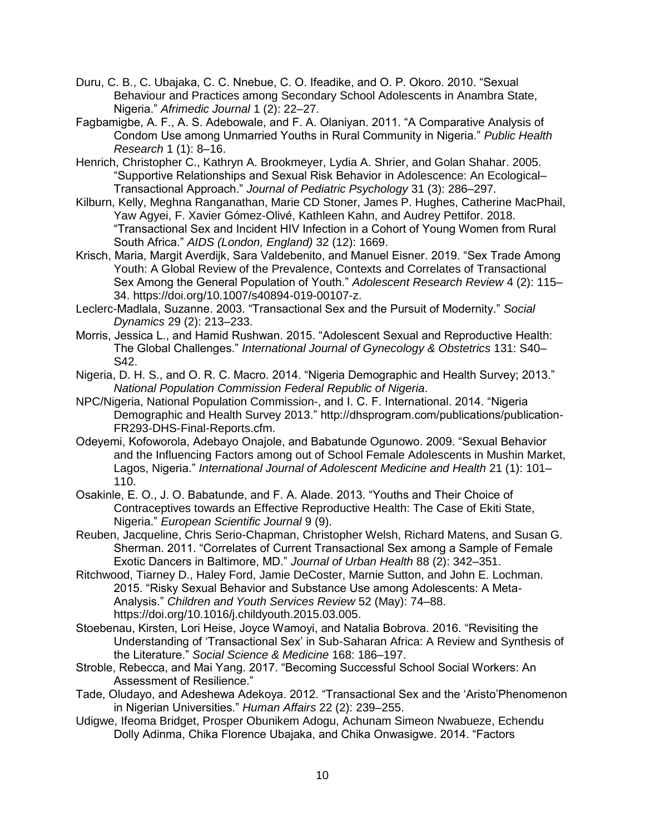- Duru, C. B., C. Ubajaka, C. C. Nnebue, C. O. Ifeadike, and O. P. Okoro. 2010. "Sexual Behaviour and Practices among Secondary School Adolescents in Anambra State, Nigeria.‖ *Afrimedic Journal* 1 (2): 22–27.
- Fagbamigbe, A. F., A. S. Adebowale, and F. A. Olaniyan. 2011. "A Comparative Analysis of Condom Use among Unmarried Youths in Rural Community in Nigeria.‖ *Public Health Research* 1 (1): 8–16.
- Henrich, Christopher C., Kathryn A. Brookmeyer, Lydia A. Shrier, and Golan Shahar. 2005. ―Supportive Relationships and Sexual Risk Behavior in Adolescence: An Ecological– Transactional Approach.‖ *Journal of Pediatric Psychology* 31 (3): 286–297.
- Kilburn, Kelly, Meghna Ranganathan, Marie CD Stoner, James P. Hughes, Catherine MacPhail, Yaw Agyei, F. Xavier Gómez-Olivé, Kathleen Kahn, and Audrey Pettifor. 2018. ―Transactional Sex and Incident HIV Infection in a Cohort of Young Women from Rural South Africa.‖ *AIDS (London, England)* 32 (12): 1669.
- Krisch, Maria, Margit Averdijk, Sara Valdebenito, and Manuel Eisner. 2019. "Sex Trade Among Youth: A Global Review of the Prevalence, Contexts and Correlates of Transactional Sex Among the General Population of Youth." Adolescent Research Review 4 (2): 115-34. https://doi.org/10.1007/s40894-019-00107-z.
- Leclerc-Madlala, Suzanne. 2003. "Transactional Sex and the Pursuit of Modernity." Social *Dynamics* 29 (2): 213–233.
- Morris, Jessica L., and Hamid Rushwan. 2015. "Adolescent Sexual and Reproductive Health: The Global Challenges.‖ *International Journal of Gynecology & Obstetrics* 131: S40– S42.
- Nigeria, D. H. S., and O. R. C. Macro. 2014. "Nigeria Demographic and Health Survey; 2013." *National Population Commission Federal Republic of Nigeria*.
- NPC/Nigeria, National Population Commission-, and I. C. F. International. 2014. "Nigeria Demographic and Health Survey 2013." http://dhsprogram.com/publications/publication-FR293-DHS-Final-Reports.cfm.
- Odeyemi, Kofoworola, Adebayo Onajole, and Babatunde Ogunowo. 2009. "Sexual Behavior and the Influencing Factors among out of School Female Adolescents in Mushin Market, Lagos, Nigeria.‖ *International Journal of Adolescent Medicine and Health* 21 (1): 101– 110.
- Osakinle, E. O., J. O. Babatunde, and F. A. Alade. 2013. "Youths and Their Choice of Contraceptives towards an Effective Reproductive Health: The Case of Ekiti State, Nigeria.‖ *European Scientific Journal* 9 (9).
- Reuben, Jacqueline, Chris Serio-Chapman, Christopher Welsh, Richard Matens, and Susan G. Sherman. 2011. "Correlates of Current Transactional Sex among a Sample of Female Exotic Dancers in Baltimore, MD.‖ *Journal of Urban Health* 88 (2): 342–351.
- Ritchwood, Tiarney D., Haley Ford, Jamie DeCoster, Marnie Sutton, and John E. Lochman. 2015. "Risky Sexual Behavior and Substance Use among Adolescents: A Meta-Analysis.‖ *Children and Youth Services Review* 52 (May): 74–88. https://doi.org/10.1016/j.childyouth.2015.03.005.
- Stoebenau, Kirsten, Lori Heise, Joyce Wamoyi, and Natalia Bobrova. 2016. "Revisiting the Understanding of ‗Transactional Sex' in Sub-Saharan Africa: A Review and Synthesis of the Literature.‖ *Social Science & Medicine* 168: 186–197.
- Stroble, Rebecca, and Mai Yang. 2017. "Becoming Successful School Social Workers: An Assessment of Resilience."
- Tade, Oludayo, and Adeshewa Adekoya. 2012. "Transactional Sex and the 'Aristo'Phenomenon in Nigerian Universities.‖ *Human Affairs* 22 (2): 239–255.
- Udigwe, Ifeoma Bridget, Prosper Obunikem Adogu, Achunam Simeon Nwabueze, Echendu Dolly Adinma, Chika Florence Ubajaka, and Chika Onwasigwe. 2014. "Factors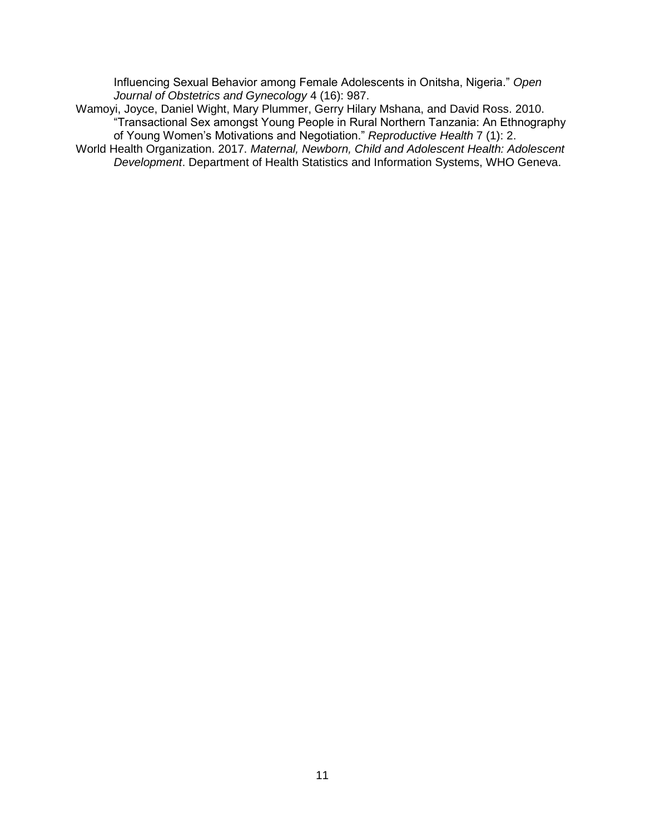Influencing Sexual Behavior among Female Adolescents in Onitsha, Nigeria.‖ *Open Journal of Obstetrics and Gynecology* 4 (16): 987.

Wamoyi, Joyce, Daniel Wight, Mary Plummer, Gerry Hilary Mshana, and David Ross. 2010. ―Transactional Sex amongst Young People in Rural Northern Tanzania: An Ethnography of Young Women's Motivations and Negotiation.‖ *Reproductive Health* 7 (1): 2.

World Health Organization. 2017. *Maternal, Newborn, Child and Adolescent Health: Adolescent Development*. Department of Health Statistics and Information Systems, WHO Geneva.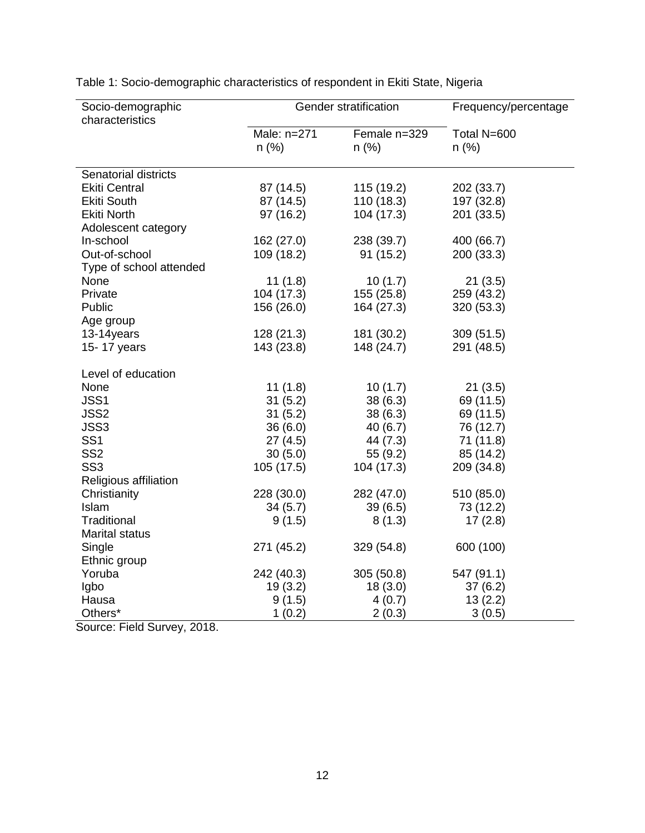| Socio-demographic       | Gender stratification |              | Frequency/percentage |  |
|-------------------------|-----------------------|--------------|----------------------|--|
| characteristics         |                       |              |                      |  |
|                         | Male: n=271           | Female n=329 | Total N=600          |  |
|                         | $n$ (%)               | $n$ (%)      | $n$ (%)              |  |
|                         |                       |              |                      |  |
| Senatorial districts    |                       |              |                      |  |
| <b>Ekiti Central</b>    | 87 (14.5)             | 115 (19.2)   | 202 (33.7)           |  |
| <b>Ekiti South</b>      | 87 (14.5)             | 110(18.3)    | 197 (32.8)           |  |
| <b>Ekiti North</b>      | 97 (16.2)             | 104 (17.3)   | 201 (33.5)           |  |
| Adolescent category     |                       |              |                      |  |
| In-school               | 162 (27.0)            | 238 (39.7)   | 400 (66.7)           |  |
| Out-of-school           | 109 (18.2)            | 91(15.2)     | 200 (33.3)           |  |
| Type of school attended |                       |              |                      |  |
| None                    | 11(1.8)               | 10(1.7)      | 21(3.5)              |  |
| Private                 | 104 (17.3)            | 155(25.8)    | 259 (43.2)           |  |
| Public                  | 156 (26.0)            | 164 (27.3)   | 320 (53.3)           |  |
| Age group               |                       |              |                      |  |
| 13-14years              | 128(21.3)             | 181 (30.2)   | 309(51.5)            |  |
| 15-17 years             | 143 (23.8)            | 148 (24.7)   | 291 (48.5)           |  |
|                         |                       |              |                      |  |
| Level of education      |                       |              |                      |  |
| None                    | 11(1.8)               | 10(1.7)      | 21(3.5)              |  |
| JSS1                    | 31(5.2)               | 38(6.3)      | 69 (11.5)            |  |
| JSS2                    | 31(5.2)               | 38(6.3)      | 69 (11.5)            |  |
| JSS3                    | 36(6.0)               | 40(6.7)      | 76 (12.7)            |  |
| SS <sub>1</sub>         | 27(4.5)               | 44 (7.3)     | 71(11.8)             |  |
| SS <sub>2</sub>         | 30(5.0)               | 55(9.2)      | 85 (14.2)            |  |
| SS <sub>3</sub>         | 105(17.5)             | 104 (17.3)   | 209 (34.8)           |  |
| Religious affiliation   |                       |              |                      |  |
| Christianity            | 228 (30.0)            | 282 (47.0)   | 510 (85.0)           |  |
| Islam                   | 34(5.7)               | 39(6.5)      | 73 (12.2)            |  |
| Traditional             | 9(1.5)                | 8(1.3)       | 17(2.8)              |  |
| <b>Marital status</b>   |                       |              |                      |  |
| Single                  | 271 (45.2)            | 329 (54.8)   | 600 (100)            |  |
| Ethnic group            |                       |              |                      |  |
| Yoruba                  | 242 (40.3)            | 305(50.8)    | 547 (91.1)           |  |
| Igbo                    | 19(3.2)               | 18(3.0)      | 37(6.2)              |  |
| Hausa                   |                       |              |                      |  |
|                         | 9(1.5)                | 4(0.7)       | 13(2.2)              |  |
| Others*                 | 1(0.2)                | 2(0.3)       | 3(0.5)               |  |

Table 1: Socio-demographic characteristics of respondent in Ekiti State, Nigeria

Source: Field Survey, 2018.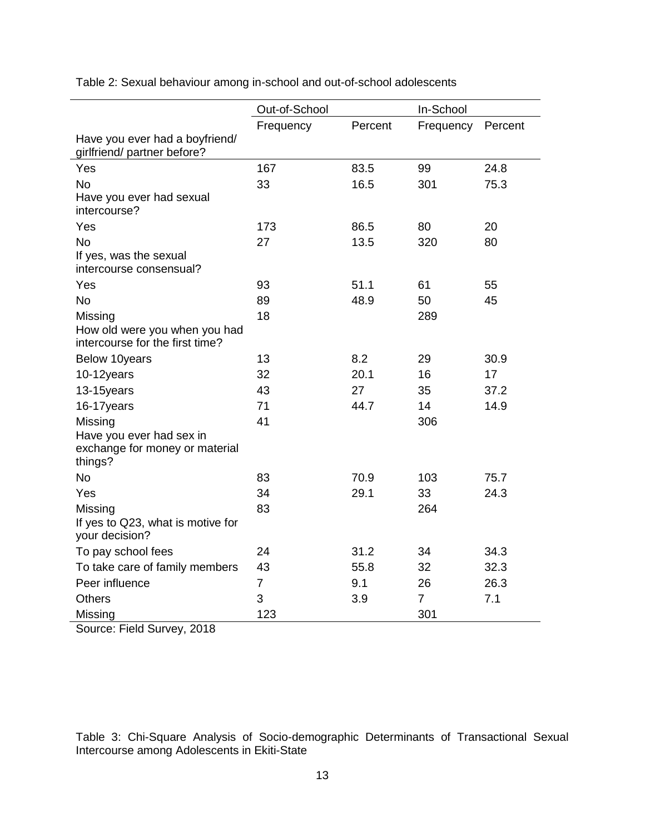|                                                                       | Out-of-School  |         | In-School      |         |  |
|-----------------------------------------------------------------------|----------------|---------|----------------|---------|--|
|                                                                       | Frequency      | Percent | Frequency      | Percent |  |
| Have you ever had a boyfriend/<br>girlfriend/ partner before?         |                |         |                |         |  |
| Yes                                                                   | 167            | 83.5    | 99             | 24.8    |  |
| <b>No</b>                                                             | 33             | 16.5    | 301            | 75.3    |  |
| Have you ever had sexual<br>intercourse?                              |                |         |                |         |  |
| Yes                                                                   | 173            | 86.5    | 80             | 20      |  |
| <b>No</b>                                                             | 27             | 13.5    | 320            | 80      |  |
| If yes, was the sexual<br>intercourse consensual?                     |                |         |                |         |  |
| Yes                                                                   | 93             | 51.1    | 61             | 55      |  |
| <b>No</b>                                                             | 89             | 48.9    | 50             | 45      |  |
| Missing                                                               | 18             |         | 289            |         |  |
| How old were you when you had<br>intercourse for the first time?      |                |         |                |         |  |
| Below 10years                                                         | 13             | 8.2     | 29             | 30.9    |  |
| 10-12years                                                            | 32             | 20.1    | 16             | 17      |  |
| 13-15years                                                            | 43             | 27      | 35             | 37.2    |  |
| 16-17years                                                            | 71             | 44.7    | 14             | 14.9    |  |
| Missing                                                               | 41             |         | 306            |         |  |
| Have you ever had sex in<br>exchange for money or material<br>things? |                |         |                |         |  |
| <b>No</b>                                                             | 83             | 70.9    | 103            | 75.7    |  |
| Yes                                                                   | 34             | 29.1    | 33             | 24.3    |  |
| Missing                                                               | 83             |         | 264            |         |  |
| If yes to Q23, what is motive for<br>your decision?                   |                |         |                |         |  |
| To pay school fees                                                    | 24             | 31.2    | 34             | 34.3    |  |
| To take care of family members                                        | 43             | 55.8    | 32             | 32.3    |  |
| Peer influence                                                        | $\overline{7}$ | 9.1     | 26             | 26.3    |  |
| <b>Others</b>                                                         | 3              | 3.9     | $\overline{7}$ | 7.1     |  |
| Missing                                                               | 123            |         | 301            |         |  |

Table 2: Sexual behaviour among in-school and out-of-school adolescents

Source: Field Survey, 2018

Table 3: Chi-Square Analysis of Socio-demographic Determinants of Transactional Sexual Intercourse among Adolescents in Ekiti-State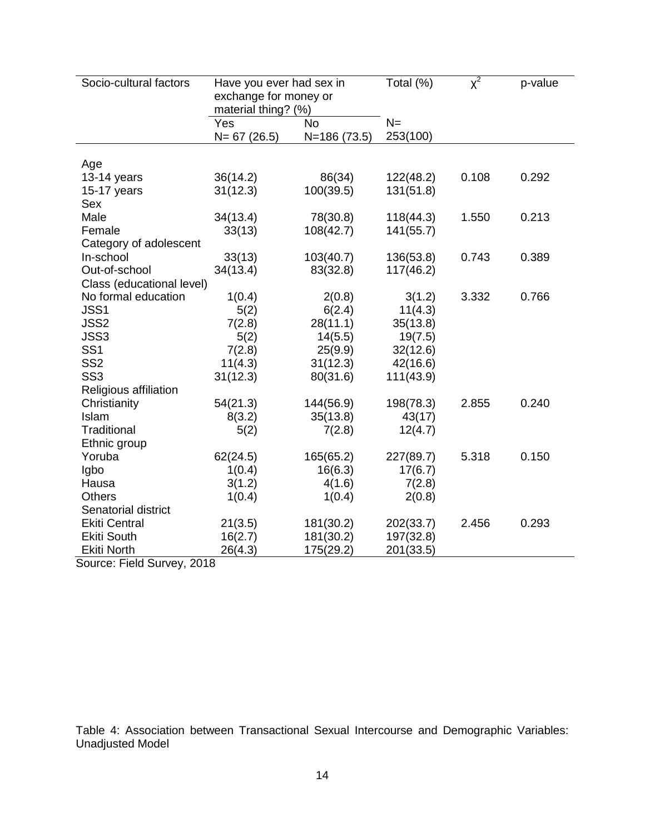| Socio-cultural factors    | Have you ever had sex in<br>exchange for money or<br>material thing? (%) |              | Total (%) | $X^2$ | p-value |
|---------------------------|--------------------------------------------------------------------------|--------------|-----------|-------|---------|
|                           | Yes                                                                      | No           | $N =$     |       |         |
|                           | $N = 67(26.5)$                                                           | N=186 (73.5) | 253(100)  |       |         |
|                           |                                                                          |              |           |       |         |
| Age<br>13-14 years        | 36(14.2)                                                                 | 86(34)       | 122(48.2) | 0.108 | 0.292   |
| 15-17 years               | 31(12.3)                                                                 | 100(39.5)    | 131(51.8) |       |         |
| Sex                       |                                                                          |              |           |       |         |
| Male                      | 34(13.4)                                                                 | 78(30.8)     | 118(44.3) | 1.550 | 0.213   |
| Female                    | 33(13)                                                                   | 108(42.7)    | 141(55.7) |       |         |
| Category of adolescent    |                                                                          |              |           |       |         |
| In-school                 | 33(13)                                                                   | 103(40.7)    | 136(53.8) | 0.743 | 0.389   |
| Out-of-school             | 34(13.4)                                                                 | 83(32.8)     | 117(46.2) |       |         |
| Class (educational level) |                                                                          |              |           |       |         |
| No formal education       | 1(0.4)                                                                   | 2(0.8)       | 3(1.2)    | 3.332 | 0.766   |
| JSS1                      | 5(2)                                                                     | 6(2.4)       | 11(4.3)   |       |         |
| JSS2                      | 7(2.8)                                                                   | 28(11.1)     | 35(13.8)  |       |         |
| JSS3                      | 5(2)                                                                     | 14(5.5)      | 19(7.5)   |       |         |
| SS <sub>1</sub>           | 7(2.8)                                                                   | 25(9.9)      | 32(12.6)  |       |         |
| SS <sub>2</sub>           | 11(4.3)                                                                  | 31(12.3)     | 42(16.6)  |       |         |
| SS <sub>3</sub>           | 31(12.3)                                                                 | 80(31.6)     | 111(43.9) |       |         |
| Religious affiliation     |                                                                          |              |           |       |         |
| Christianity              | 54(21.3)                                                                 | 144(56.9)    | 198(78.3) | 2.855 | 0.240   |
| Islam                     | 8(3.2)                                                                   | 35(13.8)     | 43(17)    |       |         |
| Traditional               | 5(2)                                                                     | 7(2.8)       | 12(4.7)   |       |         |
| Ethnic group              |                                                                          |              |           |       |         |
| Yoruba                    | 62(24.5)                                                                 | 165(65.2)    | 227(89.7) | 5.318 | 0.150   |
| Igbo                      | 1(0.4)                                                                   | 16(6.3)      | 17(6.7)   |       |         |
| Hausa                     | 3(1.2)                                                                   | 4(1.6)       | 7(2.8)    |       |         |
| <b>Others</b>             | 1(0.4)                                                                   | 1(0.4)       | 2(0.8)    |       |         |
| Senatorial district       |                                                                          |              |           |       |         |
| <b>Ekiti Central</b>      | 21(3.5)                                                                  | 181(30.2)    | 202(33.7) | 2.456 | 0.293   |
| <b>Ekiti South</b>        | 16(2.7)                                                                  | 181(30.2)    | 197(32.8) |       |         |
| <b>Ekiti North</b>        | 26(4.3)                                                                  | 175(29.2)    | 201(33.5) |       |         |

Source: Field Survey, 2018

Table 4: Association between Transactional Sexual Intercourse and Demographic Variables: Unadjusted Model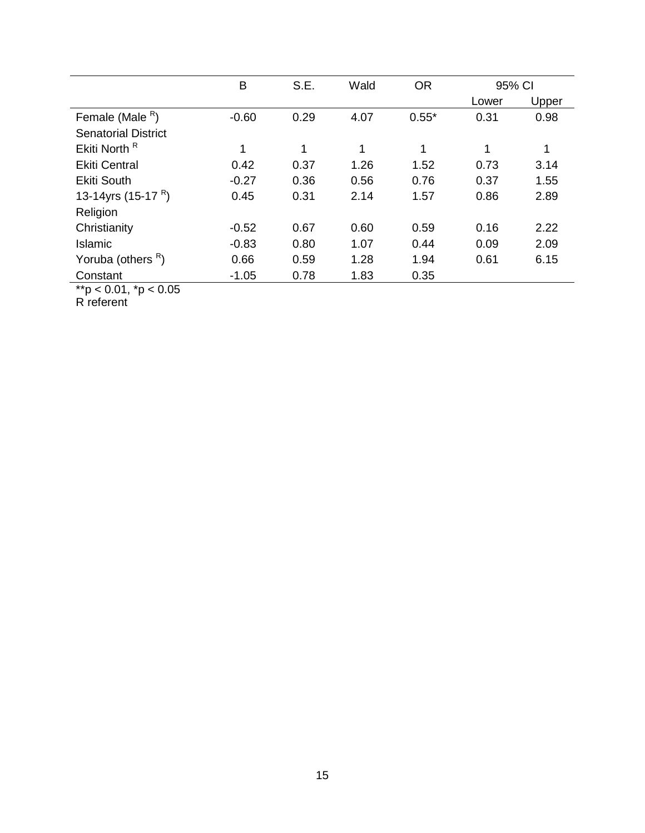|                                | B       | S.E. | Wald | <b>OR</b> | 95% CI |       |
|--------------------------------|---------|------|------|-----------|--------|-------|
|                                |         |      |      |           | Lower  | Upper |
| Female (Male $R$ )             | $-0.60$ | 0.29 | 4.07 | $0.55*$   | 0.31   | 0.98  |
| <b>Senatorial District</b>     |         |      |      |           |        |       |
| Ekiti North <sup>R</sup>       |         | 1    | 1    | 1         | 1      | 1     |
| <b>Ekiti Central</b>           | 0.42    | 0.37 | 1.26 | 1.52      | 0.73   | 3.14  |
| <b>Ekiti South</b>             | $-0.27$ | 0.36 | 0.56 | 0.76      | 0.37   | 1.55  |
| 13-14yrs (15-17 <sup>R</sup> ) | 0.45    | 0.31 | 2.14 | 1.57      | 0.86   | 2.89  |
| Religion                       |         |      |      |           |        |       |
| Christianity                   | $-0.52$ | 0.67 | 0.60 | 0.59      | 0.16   | 2.22  |
| Islamic                        | $-0.83$ | 0.80 | 1.07 | 0.44      | 0.09   | 2.09  |
| Yoruba (others <sup>R</sup> )  | 0.66    | 0.59 | 1.28 | 1.94      | 0.61   | 6.15  |
| Constant                       | $-1.05$ | 0.78 | 1.83 | 0.35      |        |       |

\*\*p < 0.01, \*p < 0.05

R referent